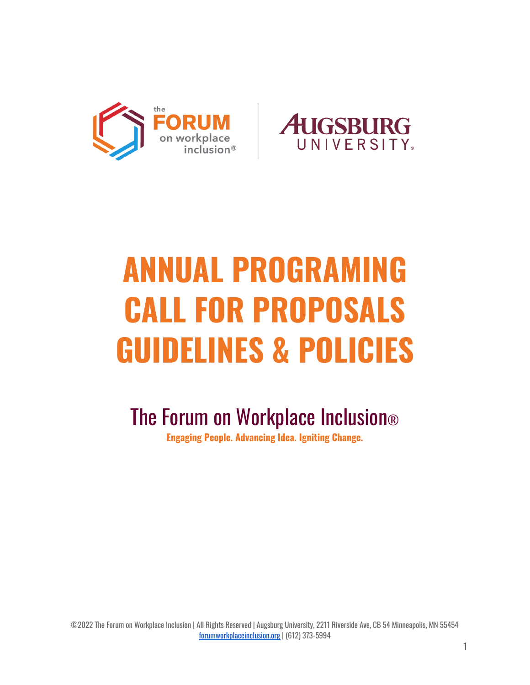



# **ANNUAL PROGRAMING CALL FOR PROPOSALS GUIDELINES & POLICIES**

The Forum on Workplace Inclusion®

**Engaging People. Advancing Idea. Igniting Change.**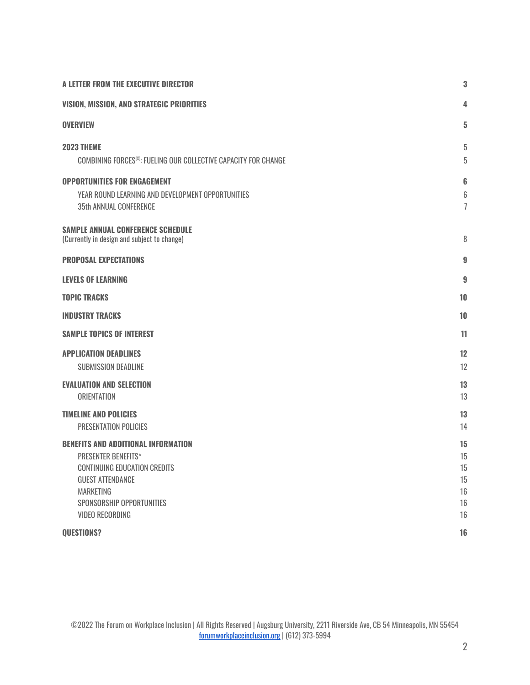<span id="page-1-0"></span>

| A LETTER FROM THE EXECUTIVE DIRECTOR                                                                                                                                                                                  |                                        |
|-----------------------------------------------------------------------------------------------------------------------------------------------------------------------------------------------------------------------|----------------------------------------|
| <b>VISION, MISSION, AND STRATEGIC PRIORITIES</b>                                                                                                                                                                      | 4                                      |
| <b>OVERVIEW</b>                                                                                                                                                                                                       | 5                                      |
| <b>2023 THEME</b><br>COMBINING FORCES <sup>(X)</sup> : FUELING OUR COLLECTIVE CAPACITY FOR CHANGE                                                                                                                     | 5<br>5                                 |
| <b>OPPORTUNITIES FOR ENGAGEMENT</b><br>YEAR ROUND LEARNING AND DEVELOPMENT OPPORTUNITIES<br><b>35th ANNUAL CONFERENCE</b>                                                                                             | 6<br>6<br>$\overline{1}$               |
| <b>SAMPLE ANNUAL CONFERENCE SCHEDULE</b><br>(Currently in design and subject to change)                                                                                                                               | 8                                      |
| <b>PROPOSAL EXPECTATIONS</b>                                                                                                                                                                                          | 9                                      |
| <b>LEVELS OF LEARNING</b>                                                                                                                                                                                             | 9                                      |
| <b>TOPIC TRACKS</b>                                                                                                                                                                                                   | 10                                     |
| <b>INDUSTRY TRACKS</b>                                                                                                                                                                                                | 10                                     |
| <b>SAMPLE TOPICS OF INTEREST</b>                                                                                                                                                                                      | 11                                     |
| <b>APPLICATION DEADLINES</b><br><b>SUBMISSION DEADLINE</b>                                                                                                                                                            | 12<br>12                               |
| <b>EVALUATION AND SELECTION</b><br><b>ORIENTATION</b>                                                                                                                                                                 | 13<br>13                               |
| <b>TIMELINE AND POLICIES</b><br>PRESENTATION POLICIES                                                                                                                                                                 | 13<br>14                               |
| <b>BENEFITS AND ADDITIONAL INFORMATION</b><br><b>PRESENTER BENEFITS*</b><br><b>CONTINUING EDUCATION CREDITS</b><br><b>GUEST ATTENDANCE</b><br><b>MARKETING</b><br>SPONSORSHIP OPPORTUNITIES<br><b>VIDEO RECORDING</b> | 15<br>15<br>15<br>15<br>16<br>16<br>16 |
| QUESTIONS?                                                                                                                                                                                                            | 16                                     |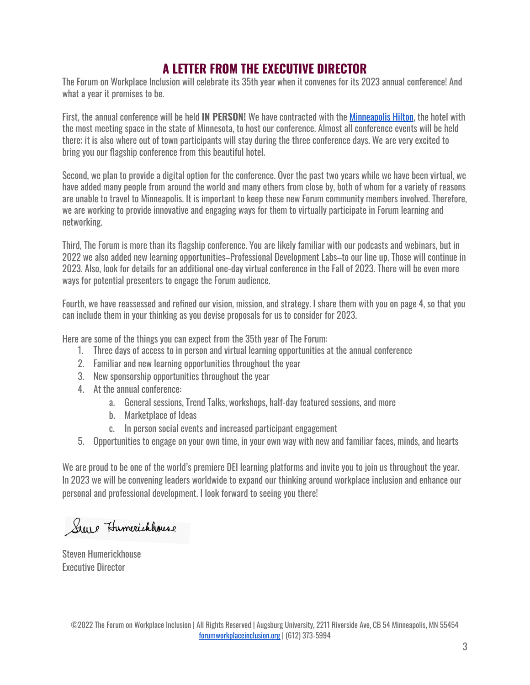## **A LETTER FROM THE EXECUTIVE DIRECTOR**

The Forum on Workplace Inclusion will celebrate its 35th year when it convenes for its 2023 annual conference! And what a year it promises to be.

First, the annual conference will be held **IN PERSON!** We have contracted with the [Minneapolis](https://www.hilton.com/en/hotels/mspmhhh-hilton-minneapolis/) Hilton, the hotel with the most meeting space in the state of Minnesota, to host our conference. Almost all conference events will be held there; it is also where out of town participants will stay during the three conference days. We are very excited to bring you our flagship conference from this beautiful hotel.

Second, we plan to provide a digital option for the conference. Over the past two years while we have been virtual, we have added many people from around the world and many others from close by, both of whom for a variety of reasons are unable to travel to Minneapolis. It is important to keep these new Forum community members involved. Therefore, we are working to provide innovative and engaging ways for them to virtually participate in Forum learning and networking.

Third, The Forum is more than its flagship conference. You are likely familiar with our podcasts and webinars, but in 2022 we also added new learning opportunities–Professional Development Labs–to our line up. Those will continue in 2023. Also, look for details for an additional one-day virtual conference in the Fall of 2023. There will be even more ways for potential presenters to engage the Forum audience.

Fourth, we have reassessed and refined our vision, mission, and strategy. I share them with you on page 4, so that you can include them in your thinking as you devise proposals for us to consider for 2023.

Here are some of the things you can expect from the 35th year of The Forum:

- 1. Three days of access to in person and virtual learning opportunities at the annual conference
- 2. Familiar and new learning opportunities throughout the year
- 3. New sponsorship opportunities throughout the year
- 4. At the annual conference:
	- a. General sessions, Trend Talks, workshops, half-day featured sessions, and more
	- b. Marketplace of Ideas
	- c. In person social events and increased participant engagement
- 5. Opportunities to engage on your own time, in your own way with new and familiar faces, minds, and hearts

We are proud to be one of the world's premiere DEI learning platforms and invite you to join us throughout the year. In 2023 we will be convening leaders worldwide to expand our thinking around workplace inclusion and enhance our personal and professional development. I look forward to seeing you there!

Steve Humerickhouse

Steven Humerickhouse Executive Director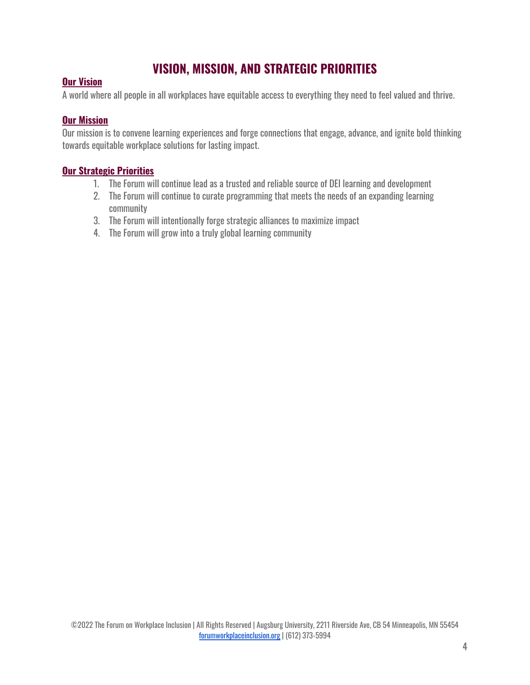# **VISION, MISSION, AND STRATEGIC PRIORITIES**

#### <span id="page-3-0"></span>**Our Vision**

A world where all people in all workplaces have equitable access to everything they need to feel valued and thrive.

#### **Our Mission**

Our mission is to convene learning experiences and forge connections that engage, advance, and ignite bold thinking towards equitable workplace solutions for lasting impact.

#### **Our Strategic Priorities**

- 1. The Forum will continue lead as a trusted and reliable source of DEI learning and development
- 2. The Forum will continue to curate programming that meets the needs of an expanding learning community
- 3. The Forum will intentionally forge strategic alliances to maximize impact
- 4. The Forum will grow into a truly global learning community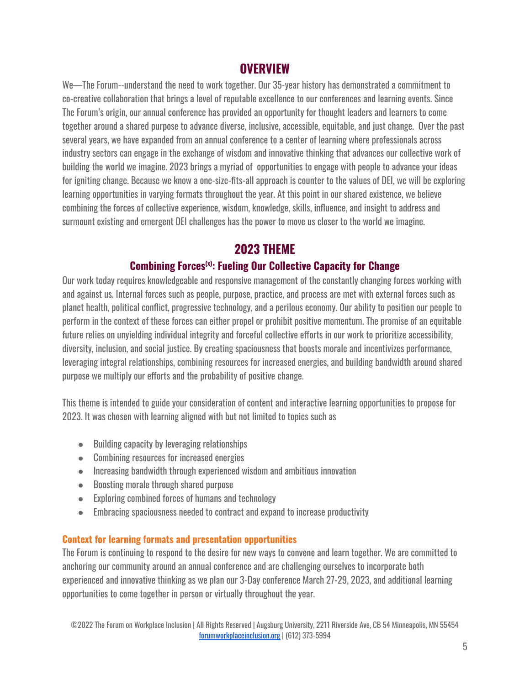## **OVERVIEW**

<span id="page-4-0"></span>We—The Forum--understand the need to work together. Our 35-year history has demonstrated a commitment to co-creative collaboration that brings a level of reputable excellence to our conferences and learning events. Since The Forum's origin, our annual conference has provided an opportunity for thought leaders and learners to come together around a shared purpose to advance diverse, inclusive, accessible, equitable, and just change. Over the past several years, we have expanded from an annual conference to a center of learning where professionals across industry sectors can engage in the exchange of wisdom and innovative thinking that advances our collective work of building the world we imagine. 2023 brings a myriad of opportunities to engage with people to advance your ideas for igniting change. Because we know a one-size-fits-all approach is counter to the values of DEI, we will be exploring learning opportunities in varying formats throughout the year. At this point in our shared existence, we believe combining the forces of collective experience, wisdom, knowledge, skills, influence, and insight to address and surmount existing and emergent DEI challenges has the power to move us closer to the world we imagine.

# **2023 THEME**

## **Combining Forces (x) : Fueling Our Collective Capacity for Change**

<span id="page-4-2"></span><span id="page-4-1"></span>Our work today requires knowledgeable and responsive management of the constantly changing forces working with and against us. Internal forces such as people, purpose, practice, and process are met with external forces such as planet health, political conflict, progressive technology, and a perilous economy. Our ability to position our people to perform in the context of these forces can either propel or prohibit positive momentum. The promise of an equitable future relies on unyielding individual integrity and forceful collective efforts in our work to prioritize accessibility, diversity, inclusion, and social justice. By creating spaciousness that boosts morale and incentivizes performance, leveraging integral relationships, combining resources for increased energies, and building bandwidth around shared purpose we multiply our efforts and the probability of positive change.

This theme is intended to guide your consideration of content and interactive learning opportunities to propose for 2023. It was chosen with learning aligned with but not limited to topics such as

- Building capacity by leveraging relationships
- Combining resources for increased energies
- Increasing bandwidth through experienced wisdom and ambitious innovation
- Boosting morale through shared purpose
- Exploring combined forces of humans and technology
- Embracing spaciousness needed to contract and expand to increase productivity

#### **Context for learning formats and presentation opportunities**

The Forum is continuing to respond to the desire for new ways to convene and learn together. We are committed to anchoring our community around an annual conference and are challenging ourselves to incorporate both experienced and innovative thinking as we plan our 3-Day conference March 27-29, 2023, and additional learning opportunities to come together in person or virtually throughout the year.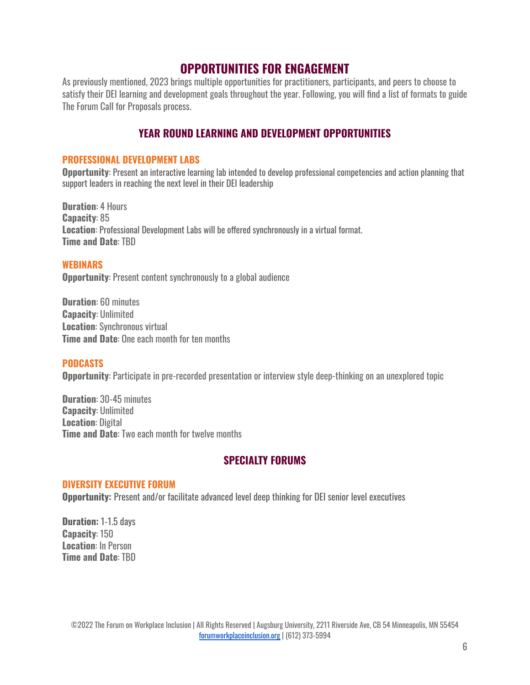## **OPPORTUNITIES FOR ENGAGEMENT**

<span id="page-5-0"></span>As previously mentioned, 2023 brings multiple opportunities for practitioners, participants, and peers to choose to satisfy their DEI learning and development goals throughout the year. Following, you will find a list of formats to guide The Forum Call for Proposals process.

#### **YEAR ROUND LEARNING AND DEVELOPMENT OPPORTUNITIES**

#### <span id="page-5-1"></span>**PROFESSIONAL DEVELOPMENT LABS**

**Opportunity**: Present an interactive learning lab intended to develop professional competencies and action planning that support leaders in reaching the next level in their DEI leadership

**Duration**: 4 Hours **Capacity**: 85 **Location**: Professional Development Labs will be offered synchronously in a virtual format. **Time and Date**: TBD

#### **WEBINARS**

**Opportunity:** Present content synchronously to a global audience

**Duration**: 60 minutes **Capacity**: Unlimited **Location**: Synchronous virtual **Time and Date**: One each month for ten months

#### **PODCASTS**

**Opportunity**: Participate in pre-recorded presentation or interview style deep-thinking on an unexplored topic

**Duration**: 30-45 minutes **Capacity**: Unlimited **Location**: Digital **Time and Date**: Two each month for twelve months

## **SPECIALTY FORUMS**

#### **DIVERSITY EXECUTIVE FORUM**

**Opportunity:** Present and/or facilitate advanced level deep thinking for DEI senior level executives

**Duration:** 1-1.5 days **Capacity**: 150 **Location**: In Person **Time and Date**: TBD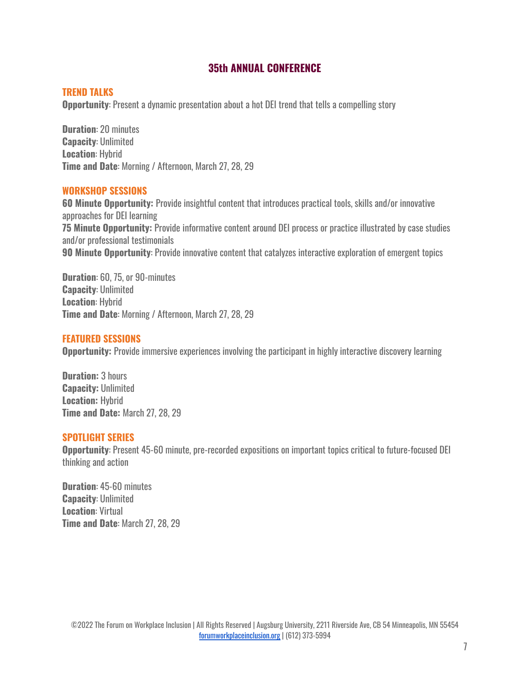#### **35th ANNUAL CONFERENCE**

#### <span id="page-6-0"></span>**TREND TALKS**

**Opportunity**: Present a dynamic presentation about a hot DEI trend that tells a compelling story

**Duration**: 20 minutes **Capacity**: Unlimited **Location**: Hybrid **Time and Date**: Morning / Afternoon, March 27, 28, 29

#### **WORKSHOP SESSIONS**

**60 Minute Opportunity:** Provide insightful content that introduces practical tools, skills and/or innovative approaches for DEI learning **75 Minute Opportunity:** Provide informative content around DEI process or practice illustrated by case studies and/or professional testimonials **90 Minute Opportunity**: Provide innovative content that catalyzes interactive exploration of emergent topics

**Duration**: 60, 75, or 90-minutes **Capacity**: Unlimited **Location**: Hybrid **Time and Date**: Morning / Afternoon, March 27, 28, 29

#### **FEATURED SESSIONS**

**Opportunity:** Provide immersive experiences involving the participant in highly interactive discovery learning

**Duration:** 3 hours **Capacity:** Unlimited **Location:** Hybrid **Time and Date:** March 27, 28, 29

#### **SPOTLIGHT SERIES**

**Opportunity**: Present 45-60 minute, pre-recorded expositions on important topics critical to future-focused DEI thinking and action

**Duration**: 45-60 minutes **Capacity**: Unlimited **Location**: Virtual **Time and Date**: March 27, 28, 29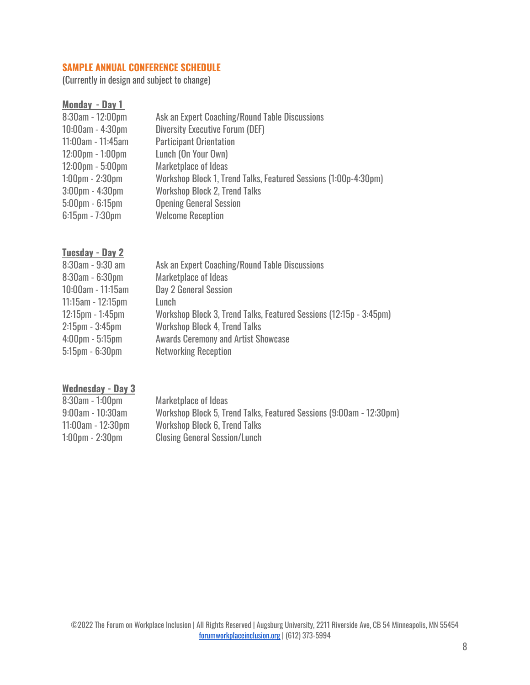#### **SAMPLE ANNUAL CONFERENCE SCHEDULE**

<span id="page-7-0"></span>(Currently in design and subject to change)

| Monday - Day 1                     |                                                                 |
|------------------------------------|-----------------------------------------------------------------|
| $8:30$ am - 12:00pm                | Ask an Expert Coaching/Round Table Discussions                  |
| 10:00am - 4:30pm                   | <b>Diversity Executive Forum (DEF)</b>                          |
| $11:00$ am - 11:45am               | <b>Participant Orientation</b>                                  |
| $12:00 \text{pm} - 1:00 \text{pm}$ | Lunch (On Your Own)                                             |
| $12:00 \text{pm} - 5:00 \text{pm}$ | Marketplace of Ideas                                            |
| $1:00 \text{pm} - 2:30 \text{pm}$  | Workshop Block 1, Trend Talks, Featured Sessions (1:00p-4:30pm) |
| $3:00$ pm - $4:30$ pm              | <b>Workshop Block 2, Trend Talks</b>                            |
| $5:00 \text{pm} - 6:15 \text{pm}$  | <b>Opening General Session</b>                                  |
| $6:15$ pm - 7:30pm                 | <b>Welcome Reception</b>                                        |

#### **Tuesday - Day 2**

| 8:30am - 9:30 am                  | Ask an Expert Coaching/Round Table Discussions                     |
|-----------------------------------|--------------------------------------------------------------------|
| $8:30$ am - $6:30$ pm             | Marketplace of Ideas                                               |
| 10:00am - 11:15am                 | Day 2 General Session                                              |
| $11:15$ am - $12:15$ pm           | Lunch                                                              |
| $12:15$ pm - 1:45pm               | Workshop Block 3, Trend Talks, Featured Sessions (12:15p - 3:45pm) |
| $2:15$ pm - $3:45$ pm             | <b>Workshop Block 4, Trend Talks</b>                               |
| $4:00 \text{pm} - 5:15 \text{pm}$ | <b>Awards Ceremony and Artist Showcase</b>                         |
| $5:15$ pm - $6:30$ pm             | <b>Networking Reception</b>                                        |
|                                   |                                                                    |

#### **Wednesday - Day 3**

| $8:30$ am - 1:00pm                | Marketplace of Ideas                                                |
|-----------------------------------|---------------------------------------------------------------------|
| $9:00$ am - 10:30am               | Workshop Block 5, Trend Talks, Featured Sessions (9:00am - 12:30pm) |
| $11:00$ am - $12:30$ pm           | Workshop Block 6, Trend Talks                                       |
| $1:00 \text{pm} - 2:30 \text{pm}$ | <b>Closing General Session/Lunch</b>                                |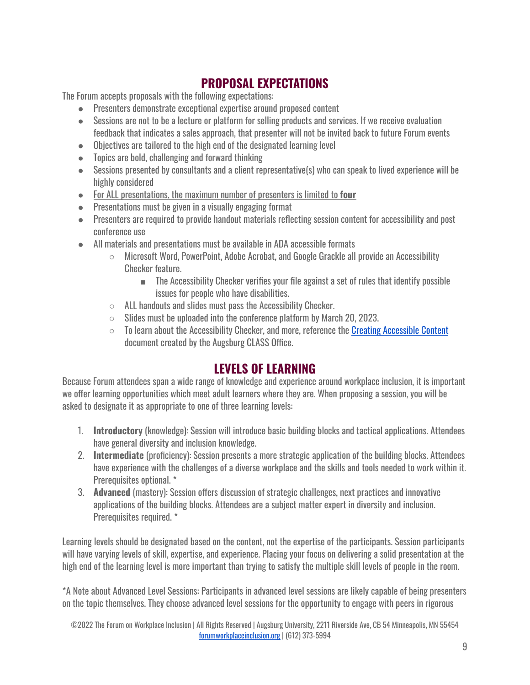# **PROPOSAL EXPECTATIONS**

The Forum accepts proposals with the following expectations:

- Presenters demonstrate exceptional expertise around proposed content
- Sessions are not to be a lecture or platform for selling products and services. If we receive evaluation feedback that indicates a sales approach, that presenter will not be invited back to future Forum events
- Objectives are tailored to the high end of the designated learning level
- Topics are bold, challenging and forward thinking
- Sessions presented by consultants and a client representative(s) who can speak to lived experience will be highly considered
- For ALL presentations, the maximum number of presenters is limited to **four**
- Presentations must be given in a visually engaging format
- Presenters are required to provide handout materials reflecting session content for accessibility and post conference use
- All materials and presentations must be available in ADA accessible formats
	- Microsoft Word, PowerPoint, Adobe Acrobat, and Google Grackle all provide an Accessibility Checker feature.
		- The Accessibility Checker verifies your file against a set of rules that identify possible issues for people who have disabilities.
	- ALL handouts and slides must pass the Accessibility Checker.
	- $\circ$  Slides must be uploaded into the conference platform by March 20, 2023.
	- $\circ$  To learn about the Accessibility Checker, and more, reference the Creating [Accessible](https://web.augsburg.edu/classprogram/Creating%20Accessible%20Content.pdf) Content document created by the Augsburg CLASS Office.

## **LEVELS OF LEARNING**

<span id="page-8-0"></span>Because Forum attendees span a wide range of knowledge and experience around workplace inclusion, it is important we offer learning opportunities which meet adult learners where they are. When proposing a session, you will be asked to designate it as appropriate to one of three learning levels:

- 1. **Introductory** (knowledge): Session will introduce basic building blocks and tactical applications. Attendees have general diversity and inclusion knowledge.
- 2. **Intermediate** (proficiency): Session presents a more strategic application of the building blocks. Attendees have experience with the challenges of a diverse workplace and the skills and tools needed to work within it. Prerequisites optional. \*
- 3. **Advanced** (mastery): Session offers discussion of strategic challenges, next practices and innovative applications of the building blocks. Attendees are a subject matter expert in diversity and inclusion. Prerequisites required. \*

Learning levels should be designated based on the content, not the expertise of the participants. Session participants will have varying levels of skill, expertise, and experience. Placing your focus on delivering a solid presentation at the high end of the learning level is more important than trying to satisfy the multiple skill levels of people in the room.

\*A Note about Advanced Level Sessions: Participants in advanced level sessions are likely capable of being presenters on the topic themselves. They choose advanced level sessions for the opportunity to engage with peers in rigorous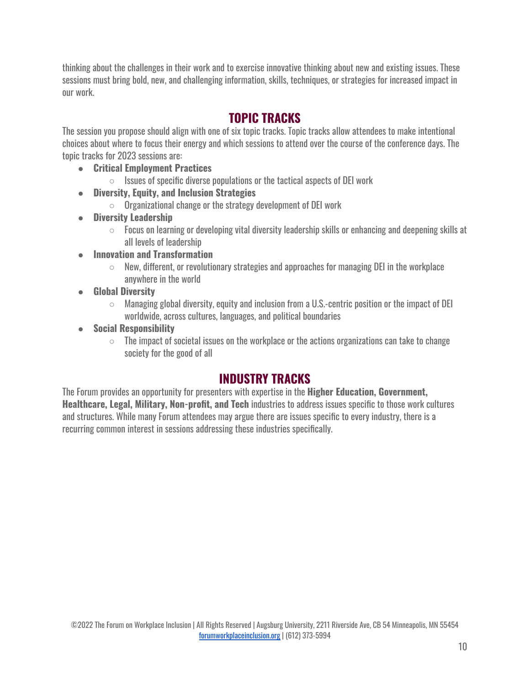thinking about the challenges in their work and to exercise innovative thinking about new and existing issues. These sessions must bring bold, new, and challenging information, skills, techniques, or strategies for increased impact in our work.

# **TOPIC TRACKS**

<span id="page-9-0"></span>The session you propose should align with one of six topic tracks. Topic tracks allow attendees to make intentional choices about where to focus their energy and which sessions to attend over the course of the conference days. The topic tracks for 2023 sessions are:

- **Critical Employment Practices**
	- $\circ$  Issues of specific diverse populations or the tactical aspects of DEI work
- **● Diversity, Equity, and Inclusion Strategies**
	- **○** Organizational change or the strategy development of DEI work
- **● Diversity Leadership**
	- $\circ$  Focus on learning or developing vital diversity leadership skills or enhancing and deepening skills at all levels of leadership
- **● Innovation and Transformation**
	- $\circ$  New, different, or revolutionary strategies and approaches for managing DEI in the workplace anywhere in the world
- **● Global Diversity**
	- $\circ$  Managing global diversity, equity and inclusion from a U.S.-centric position or the impact of DEI worldwide, across cultures, languages, and political boundaries
- **● Social Responsibility**
	- $\circ$  The impact of societal issues on the workplace or the actions organizations can take to change society for the good of all

# **INDUSTRY TRACKS**

<span id="page-9-1"></span>The Forum provides an opportunity for presenters with expertise in the **Higher Education, Government, Healthcare, Legal, Military, Non-profit, and Tech** industries to address issues specific to those work cultures and structures. While many Forum attendees may argue there are issues specific to every industry, there is a recurring common interest in sessions addressing these industries specifically.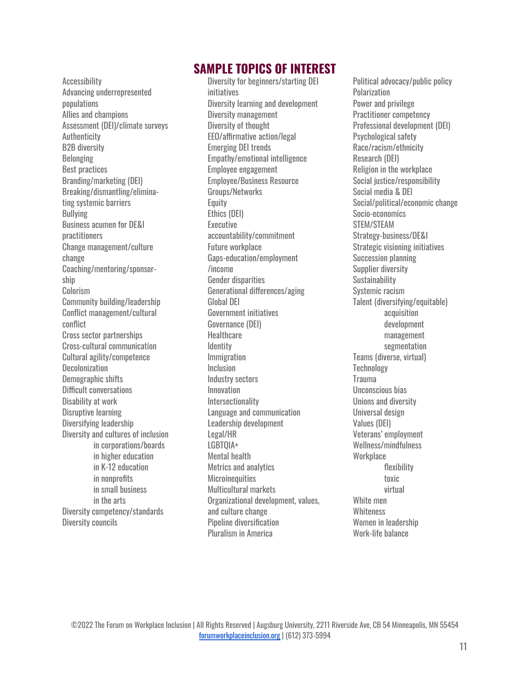<span id="page-10-0"></span>Accessibility Advancing underrepresented populations Allies and champions Assessment (DEI)/climate surveys Authenticity B2B diversity Belonging Best practices Branding/marketing (DEI) Breaking/dismantling/eliminating systemic barriers Bullying Business acumen for DE&I practitioners Change management/culture change Coaching/mentoring/sponsorship Colorism Community building/leadership Conflict management/cultural conflict Cross sector partnerships Cross-cultural communication Cultural agility/competence **Decolonization** Demographic shifts Difficult conversations Disability at work Disruptive learning Diversifying leadership Diversity and cultures of inclusion in corporations/boards in higher education in K-12 education in nonprofits in small business in the arts Diversity competency/standards Diversity councils

## **SAMPLE TOPICS OF INTEREST**

Diversity for beginners/starting DEI initiatives Diversity learning and development Diversity management Diversity of thought EEO/affirmative action/legal Emerging DEI trends Empathy/emotional intelligence Employee engagement Employee/Business Resource Groups/Networks **Equity** Ethics (DEI) Executive accountability/commitment Future workplace Gaps-education/employment /income Gender disparities Generational differences/aging Global DEI Government initiatives Governance (DEI) **Healthcare Identity** Immigration Inclusion Industry sectors Innovation **Intersectionality** Language and communication Leadership development Legal/HR LGBTQIA+ Mental health Metrics and analytics **Microinequities** Multicultural markets Organizational development, values, and culture change Pipeline diversification Pluralism in America

Political advocacy/public policy Polarization Power and privilege Practitioner competency Professional development (DEI) Psychological safety Race/racism/ethnicity Research (DEI) Religion in the workplace Social justice/responsibility Social media & DEI Social/political/economic change Socio-economics STEM/STEAM Strategy-business/DE&I Strategic visioning initiatives Succession planning Supplier diversity **Sustainability** Systemic racism Talent (diversifying/equitable) acquisition development management segmentation Teams (diverse, virtual) **Technology Trauma** Unconscious bias Unions and diversity Universal design Values (DEI) Veterans' employment Wellness/mindfulness **Workplace** flexibility toxic virtual White men **Whiteness** Women in leadership Work-life balance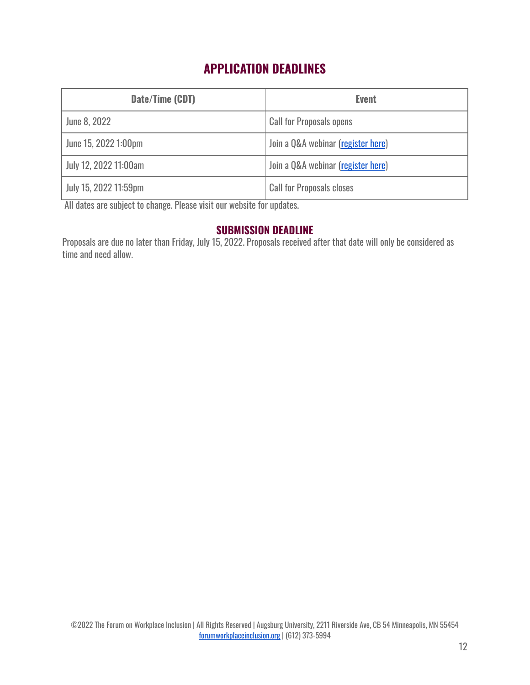# **APPLICATION DEADLINES**

<span id="page-11-0"></span>

| Date/Time (CDT)       | <b>Event</b>                       |
|-----------------------|------------------------------------|
| June 8, 2022          | <b>Call for Proposals opens</b>    |
| June 15, 2022 1:00pm  | Join a Q&A webinar (register here) |
| July 12, 2022 11:00am | Join a Q&A webinar (register here) |
| July 15, 2022 11:59pm | <b>Call for Proposals closes</b>   |

All dates are subject to change. Please visit our website for updates.

## **SUBMISSION DEADLINE**

<span id="page-11-1"></span>Proposals are due no later than Friday, July 15, 2022. Proposals received after that date will only be considered as time and need allow.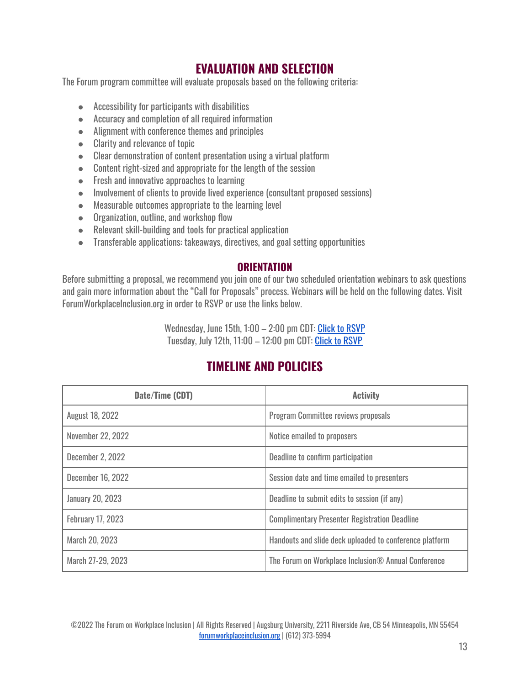# **EVALUATION AND SELECTION**

<span id="page-12-0"></span>The Forum program committee will evaluate proposals based on the following criteria:

- Accessibility for participants with disabilities
- Accuracy and completion of all required information
- Alignment with conference themes and principles
- Clarity and relevance of topic
- Clear demonstration of content presentation using a virtual platform
- Content right-sized and appropriate for the length of the session
- Fresh and innovative approaches to learning
- Involvement of clients to provide lived experience (consultant proposed sessions)
- Measurable outcomes appropriate to the learning level
- Organization, outline, and workshop flow
- Relevant skill-building and tools for practical application
- Transferable applications: takeaways, directives, and goal setting opportunities

#### **ORIENTATION**

<span id="page-12-1"></span>Before submitting a proposal, we recommend you join one of our two scheduled orientation webinars to ask questions and gain more information about the "Call for Proposals" process. Webinars will be held on the following dates. Visit ForumWorkplaceInclusion.org in order to RSVP or use the links below.

> Wednesday, June 15th, 1:00 – 2:00 pm CDT: Click to [RSVP](https://augsburg.zoom.us/webinar/register/WN_6hyqUoXQQm6i2Hd230I6hA) Tuesday, July 12th, 11:00 – 12:00 pm CDT: Click to [RSVP](https://augsburg.zoom.us/webinar/register/WN_cR0Jf76rQPqO-d0W4axw_Q)

# **TIMELINE AND POLICIES**

<span id="page-12-2"></span>

| Date/Time (CDT)          | <b>Activity</b>                                         |
|--------------------------|---------------------------------------------------------|
| <b>August 18, 2022</b>   | <b>Program Committee reviews proposals</b>              |
| November 22, 2022        | Notice emailed to proposers                             |
| December 2, 2022         | Deadline to confirm participation                       |
| <b>December 16, 2022</b> | Session date and time emailed to presenters             |
| <b>January 20, 2023</b>  | Deadline to submit edits to session (if any)            |
| <b>February 17, 2023</b> | <b>Complimentary Presenter Registration Deadline</b>    |
| March 20, 2023           | Handouts and slide deck uploaded to conference platform |
| March 27-29, 2023        | The Forum on Workplace Inclusion® Annual Conference     |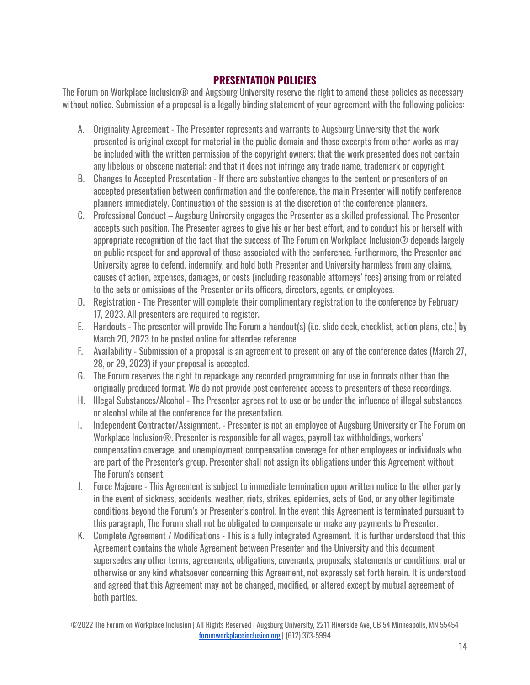## **PRESENTATION POLICIES**

<span id="page-13-0"></span>The Forum on Workplace Inclusion® and Augsburg University reserve the right to amend these policies as necessary without notice. Submission of a proposal is a legally binding statement of your agreement with the following policies:

- A. Originality Agreement The Presenter represents and warrants to Augsburg University that the work presented is original except for material in the public domain and those excerpts from other works as may be included with the written permission of the copyright owners; that the work presented does not contain any libelous or obscene material; and that it does not infringe any trade name, trademark or copyright.
- B. Changes to Accepted Presentation If there are substantive changes to the content or presenters of an accepted presentation between confirmation and the conference, the main Presenter will notify conference planners immediately. Continuation of the session is at the discretion of the conference planners.
- C. Professional Conduct Augsburg University engages the Presenter as a skilled professional. The Presenter accepts such position. The Presenter agrees to give his or her best effort, and to conduct his or herself with appropriate recognition of the fact that the success of The Forum on Workplace Inclusion® depends largely on public respect for and approval of those associated with the conference. Furthermore, the Presenter and University agree to defend, indemnify, and hold both Presenter and University harmless from any claims, causes of action, expenses, damages, or costs (including reasonable attorneys' fees) arising from or related to the acts or omissions of the Presenter or its officers, directors, agents, or employees.
- D. Registration The Presenter will complete their complimentary registration to the conference by February 17, 2023. All presenters are required to register.
- E. Handouts The presenter will provide The Forum a handout(s) (i.e. slide deck, checklist, action plans, etc.) by March 20, 2023 to be posted online for attendee reference
- F. Availability Submission of a proposal is an agreement to present on any of the conference dates (March 27, 28, or 29, 2023) if your proposal is accepted.
- G. The Forum reserves the right to repackage any recorded programming for use in formats other than the originally produced format. We do not provide post conference access to presenters of these recordings.
- H. Illegal Substances/Alcohol The Presenter agrees not to use or be under the influence of illegal substances or alcohol while at the conference for the presentation.
- I. Independent Contractor/Assignment. Presenter is not an employee of Augsburg University or The Forum on Workplace Inclusion®. Presenter is responsible for all wages, payroll tax withholdings, workers' compensation coverage, and unemployment compensation coverage for other employees or individuals who are part of the Presenter's group. Presenter shall not assign its obligations under this Agreement without The Forum's consent.
- J. Force Majeure This Agreement is subject to immediate termination upon written notice to the other party in the event of sickness, accidents, weather, riots, strikes, epidemics, acts of God, or any other legitimate conditions beyond the Forum's or Presenter's control. In the event this Agreement is terminated pursuant to this paragraph, The Forum shall not be obligated to compensate or make any payments to Presenter.
- K. Complete Agreement / Modifications This is a fully integrated Agreement. It is further understood that this Agreement contains the whole Agreement between Presenter and the University and this document supersedes any other terms, agreements, obligations, covenants, proposals, statements or conditions, oral or otherwise or any kind whatsoever concerning this Agreement, not expressly set forth herein. It is understood and agreed that this Agreement may not be changed, modified, or altered except by mutual agreement of both parties.

<sup>©2022</sup> The Forum on Workplace Inclusion | All Rights Reserved | Augsburg University, 2211 Riverside Ave, CB 54 Minneapolis, MN 55454 [forumworkplaceinclusion.org](https://forumworkplaceinclusion.org/) | (612) 373-5994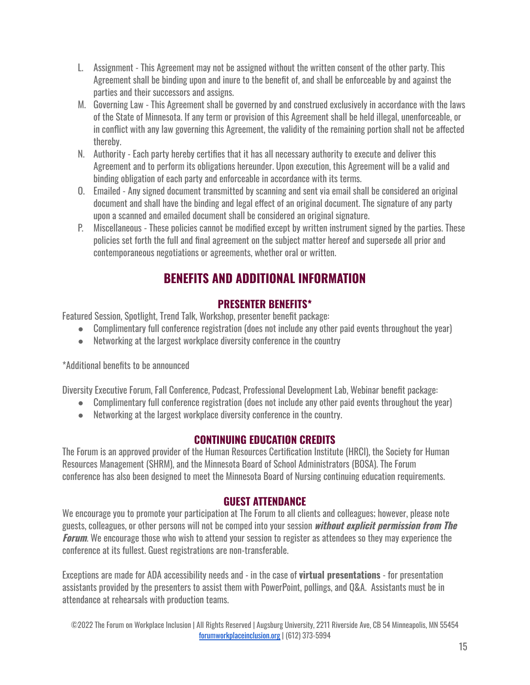- L. Assignment This Agreement may not be assigned without the written consent of the other party. This Agreement shall be binding upon and inure to the benefit of, and shall be enforceable by and against the parties and their successors and assigns.
- M. Governing Law This Agreement shall be governed by and construed exclusively in accordance with the laws of the State of Minnesota. If any term or provision of this Agreement shall be held illegal, unenforceable, or in conflict with any law governing this Agreement, the validity of the remaining portion shall not be affected thereby.
- N. Authority Each party hereby certifies that it has all necessary authority to execute and deliver this Agreement and to perform its obligations hereunder. Upon execution, this Agreement will be a valid and binding obligation of each party and enforceable in accordance with its terms.
- O. Emailed Any signed document transmitted by scanning and sent via email shall be considered an original document and shall have the binding and legal effect of an original document. The signature of any party upon a scanned and emailed document shall be considered an original signature.
- P. Miscellaneous These policies cannot be modified except by written instrument signed by the parties. These policies set forth the full and final agreement on the subject matter hereof and supersede all prior and contemporaneous negotiations or agreements, whether oral or written.

# **BENEFITS AND ADDITIONAL INFORMATION**

## **PRESENTER BENEFITS\***

<span id="page-14-1"></span><span id="page-14-0"></span>Featured Session, Spotlight, Trend Talk, Workshop, presenter benefit package:

- Complimentary full conference registration (does not include any other paid events throughout the year)
- Networking at the largest workplace diversity conference in the country

\*Additional benefits to be announced

Diversity Executive Forum, Fall Conference, Podcast, Professional Development Lab, Webinar benefit package:

- Complimentary full conference registration (does not include any other paid events throughout the year)
- Networking at the largest workplace diversity conference in the country.

## **CONTINUING EDUCATION CREDITS**

<span id="page-14-2"></span>The Forum is an approved provider of the Human Resources Certification Institute (HRCI), the Society for Human Resources Management (SHRM), and the Minnesota Board of School Administrators (BOSA). The Forum conference has also been designed to meet the Minnesota Board of Nursing continuing education requirements.

## **GUEST ATTENDANCE**

<span id="page-14-3"></span>We encourage you to promote your participation at The Forum to all clients and colleagues; however, please note guests, colleagues, or other persons will not be comped into your session **without explicit permission from The Forum**. We encourage those who wish to attend your session to register as attendees so they may experience the conference at its fullest. Guest registrations are non-transferable.

Exceptions are made for ADA accessibility needs and - in the case of **virtual presentations** - for presentation assistants provided by the presenters to assist them with PowerPoint, pollings, and Q&A. Assistants must be in attendance at rehearsals with production teams.